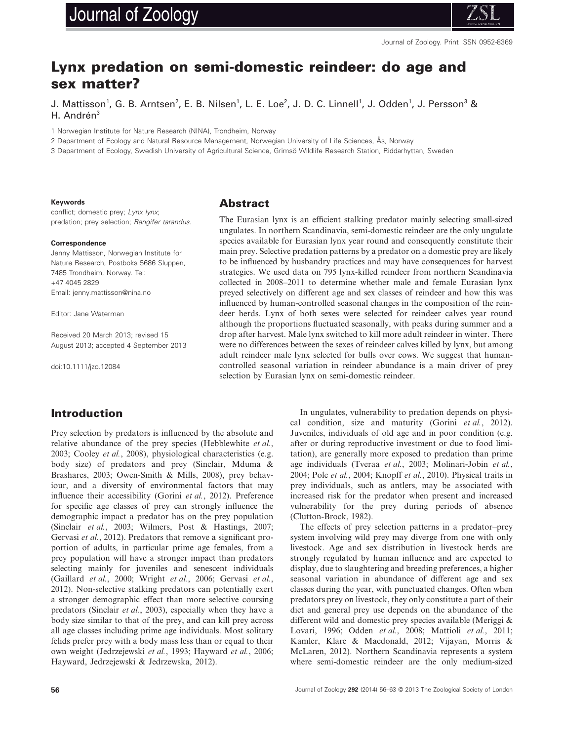# Journal of Zoology



Journal of Zoology. Print ISSN 0952-8369

# **Lynx predation on semi-domestic reindeer: do age and sex matter?**

J. Mattisson<sup>1</sup>, G. B. Arntsen<sup>2</sup>, E. B. Nilsen<sup>1</sup>, L. E. Loe<sup>2</sup>, J. D. C. Linnell<sup>1</sup>, J. Odden<sup>1</sup>, J. Persson<sup>3</sup> & H. Andrén<sup>3</sup>

1 Norwegian Institute for Nature Research (NINA), Trondheim, Norway

2 Department of Ecology and Natural Resource Management, Norwegian University of Life Sciences, Ås, Norway

3 Department of Ecology, Swedish University of Agricultural Science, Grimsö Wildlife Research Station, Riddarhyttan, Sweden

#### **Keywords**

conflict; domestic prey; *Lynx lynx*; predation; prey selection; *Rangifer tarandus*.

#### **Correspondence**

Jenny Mattisson, Norwegian Institute for Nature Research, Postboks 5686 Sluppen, 7485 Trondheim, Norway. Tel: +47 4045 2829 Email: jenny.mattisson@nina.no

Editor: Jane Waterman

Received 20 March 2013; revised 15 August 2013; accepted 4 September 2013

doi:10.1111/jzo.12084

### **Abstract**

The Eurasian lynx is an efficient stalking predator mainly selecting small-sized ungulates. In northern Scandinavia, semi-domestic reindeer are the only ungulate species available for Eurasian lynx year round and consequently constitute their main prey. Selective predation patterns by a predator on a domestic prey are likely to be influenced by husbandry practices and may have consequences for harvest strategies. We used data on 795 lynx-killed reindeer from northern Scandinavia collected in 2008–2011 to determine whether male and female Eurasian lynx preyed selectively on different age and sex classes of reindeer and how this was influenced by human-controlled seasonal changes in the composition of the reindeer herds. Lynx of both sexes were selected for reindeer calves year round although the proportions fluctuated seasonally, with peaks during summer and a drop after harvest. Male lynx switched to kill more adult reindeer in winter. There were no differences between the sexes of reindeer calves killed by lynx, but among adult reindeer male lynx selected for bulls over cows. We suggest that humancontrolled seasonal variation in reindeer abundance is a main driver of prey selection by Eurasian lynx on semi-domestic reindeer.

# **Introduction**

Prey selection by predators is influenced by the absolute and relative abundance of the prey species (Hebblewhite *et al.*, 2003; Cooley *et al.*, 2008), physiological characteristics (e.g. body size) of predators and prey (Sinclair, Mduma & Brashares, 2003; Owen-Smith & Mills, 2008), prey behaviour, and a diversity of environmental factors that may influence their accessibility (Gorini *et al.*, 2012). Preference for specific age classes of prey can strongly influence the demographic impact a predator has on the prey population (Sinclair *et al.*, 2003; Wilmers, Post & Hastings, 2007; Gervasi *et al.*, 2012). Predators that remove a significant proportion of adults, in particular prime age females, from a prey population will have a stronger impact than predators selecting mainly for juveniles and senescent individuals (Gaillard *et al.*, 2000; Wright *et al.*, 2006; Gervasi *et al.*, 2012). Non-selective stalking predators can potentially exert a stronger demographic effect than more selective coursing predators (Sinclair *et al.*, 2003), especially when they have a body size similar to that of the prey, and can kill prey across all age classes including prime age individuals. Most solitary felids prefer prey with a body mass less than or equal to their own weight (Jedrzejewski *et al.*, 1993; Hayward *et al.*, 2006; Hayward, Jedrzejewski & Jedrzewska, 2012).

In ungulates, vulnerability to predation depends on physical condition, size and maturity (Gorini *et al.*, 2012). Juveniles, individuals of old age and in poor condition (e.g. after or during reproductive investment or due to food limitation), are generally more exposed to predation than prime age individuals (Tveraa *et al.*, 2003; Molinari-Jobin *et al.*, 2004; Pole *et al.*, 2004; Knopff *et al.*, 2010). Physical traits in prey individuals, such as antlers, may be associated with increased risk for the predator when present and increased vulnerability for the prey during periods of absence (Clutton-Brock, 1982).

The effects of prey selection patterns in a predator–prey system involving wild prey may diverge from one with only livestock. Age and sex distribution in livestock herds are strongly regulated by human influence and are expected to display, due to slaughtering and breeding preferences, a higher seasonal variation in abundance of different age and sex classes during the year, with punctuated changes. Often when predators prey on livestock, they only constitute a part of their diet and general prey use depends on the abundance of the different wild and domestic prey species available (Meriggi & Lovari, 1996; Odden *et al.*, 2008; Mattioli *et al.*, 2011; Kamler, Klare & Macdonald, 2012; Vijayan, Morris & McLaren, 2012). Northern Scandinavia represents a system where semi-domestic reindeer are the only medium-sized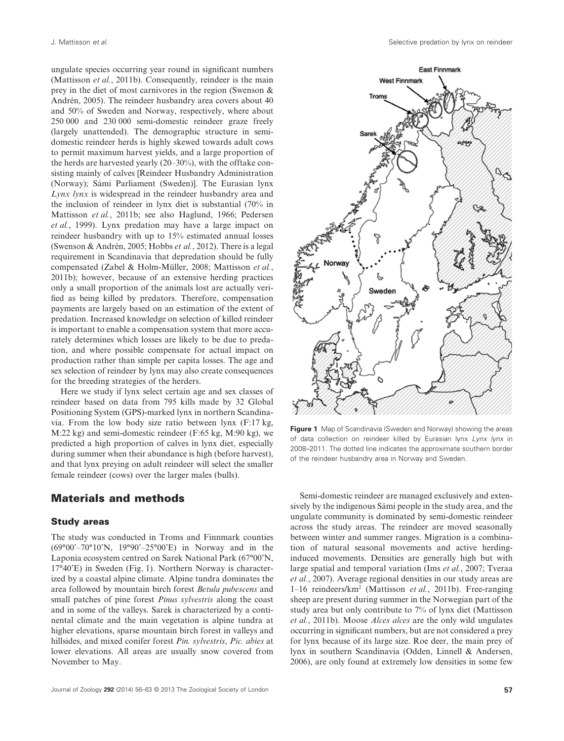ungulate species occurring year round in significant numbers (Mattisson *et al.*, 2011b). Consequently, reindeer is the main prey in the diet of most carnivores in the region (Swenson & Andrén, 2005). The reindeer husbandry area covers about 40 and 50% of Sweden and Norway, respectively, where about 250 000 and 230 000 semi-domestic reindeer graze freely (largely unattended). The demographic structure in semidomestic reindeer herds is highly skewed towards adult cows to permit maximum harvest yields, and a large proportion of the herds are harvested yearly (20–30%), with the offtake consisting mainly of calves [Reindeer Husbandry Administration (Norway); Sámi Parliament (Sweden)]. The Eurasian lynx *Lynx lynx* is widespread in the reindeer husbandry area and the inclusion of reindeer in lynx diet is substantial (70% in Mattisson *et al.*, 2011b; see also Haglund, 1966; Pedersen *et al.*, 1999). Lynx predation may have a large impact on reindeer husbandry with up to 15% estimated annual losses (Swenson & Andrén, 2005; Hobbs *et al.*, 2012). There is a legal requirement in Scandinavia that depredation should be fully compensated (Zabel & Holm-Müller, 2008; Mattisson *et al.*, 2011b); however, because of an extensive herding practices only a small proportion of the animals lost are actually verified as being killed by predators. Therefore, compensation payments are largely based on an estimation of the extent of predation. Increased knowledge on selection of killed reindeer is important to enable a compensation system that more accurately determines which losses are likely to be due to predation, and where possible compensate for actual impact on production rather than simple per capita losses. The age and sex selection of reindeer by lynx may also create consequences for the breeding strategies of the herders.

Here we study if lynx select certain age and sex classes of reindeer based on data from 795 kills made by 32 Global Positioning System (GPS)-marked lynx in northern Scandinavia. From the low body size ratio between lynx (F:17 kg, M:22 kg) and semi-domestic reindeer (F:65 kg, M:90 kg), we predicted a high proportion of calves in lynx diet, especially during summer when their abundance is high (before harvest), and that lynx preying on adult reindeer will select the smaller female reindeer (cows) over the larger males (bulls).

### **Materials and methods**

#### **Study areas**

The study was conducted in Troms and Finnmark counties (69°00'–70°10'N, 19°90'–25°00'E) in Norway and in the Laponia ecosystem centred on Sarek National Park (67°00'N, 17°40'E) in Sweden (Fig. 1). Northern Norway is characterized by a coastal alpine climate. Alpine tundra dominates the area followed by mountain birch forest *Betula pubescens* and small patches of pine forest *Pinus sylvestris* along the coast and in some of the valleys. Sarek is characterized by a continental climate and the main vegetation is alpine tundra at higher elevations, sparse mountain birch forest in valleys and hillsides, and mixed conifer forest *Pin. sylvestris*, *Pic. abies* at lower elevations. All areas are usually snow covered from November to May.



**Figure 1** Map of Scandinavia (Sweden and Norway) showing the areas of data collection on reindeer killed by Eurasian lynx *Lynx lynx* in 2008–2011. The dotted line indicates the approximate southern border of the reindeer husbandry area in Norway and Sweden.

Semi-domestic reindeer are managed exclusively and extensively by the indigenous Sámi people in the study area, and the ungulate community is dominated by semi-domestic reindeer across the study areas. The reindeer are moved seasonally between winter and summer ranges. Migration is a combination of natural seasonal movements and active herdinginduced movements. Densities are generally high but with large spatial and temporal variation (Ims *et al.*, 2007; Tveraa *et al.*, 2007). Average regional densities in our study areas are 1–16 reindeers/km2 (Mattisson *et al.*, 2011b). Free-ranging sheep are present during summer in the Norwegian part of the study area but only contribute to 7% of lynx diet (Mattisson *et al.*, 2011b). Moose *Alces alces* are the only wild ungulates occurring in significant numbers, but are not considered a prey for lynx because of its large size. Roe deer, the main prey of lynx in southern Scandinavia (Odden, Linnell & Andersen, 2006), are only found at extremely low densities in some few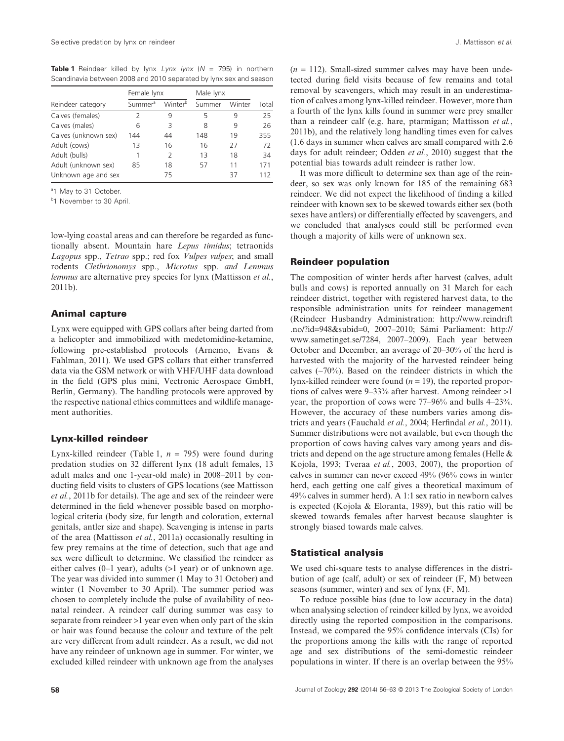**Table 1** Reindeer killed by lynx *Lynx lynx* (*N* = 795) in northern Scandinavia between 2008 and 2010 separated by lynx sex and season

|                      | Female lynx         |               | Male lynx |        |       |
|----------------------|---------------------|---------------|-----------|--------|-------|
| Reindeer category    | Summer <sup>a</sup> | Winterb       | Summer    | Winter | Total |
| Calves (females)     | $\mathcal{P}$       | 9             | 5         | 9      | 25    |
| Calves (males)       | 6                   | 3             | 8         | 9      | 26    |
| Calves (unknown sex) | 144                 | 44            | 148       | 19     | 355   |
| Adult (cows)         | 13                  | 16            | 16        | 27     | 72    |
| Adult (bulls)        |                     | $\mathcal{P}$ | 13        | 18     | 34    |
| Adult (unknown sex)  | 85                  | 18            | 57        | 11     | 171   |
| Unknown age and sex  |                     | 75            |           | 37     | 112   |

<sup>a</sup>1 May to 31 October.

<sup>b</sup>1 November to 30 April.

low-lying coastal areas and can therefore be regarded as functionally absent. Mountain hare *Lepus timidus*; tetraonids *Lagopus* spp., *Tetrao* spp.; red fox *Vulpes vulpes*; and small rodents *Clethrionomys* spp., *Microtus* spp. *and Lemmus lemmus* are alternative prey species for lynx (Mattisson *et al.*, 2011b).

#### **Animal capture**

Lynx were equipped with GPS collars after being darted from a helicopter and immobilized with medetomidine-ketamine, following pre-established protocols (Arnemo, Evans & Fahlman, 2011). We used GPS collars that either transferred data via the GSM network or with VHF/UHF data download in the field (GPS plus mini, Vectronic Aerospace GmbH, Berlin, Germany). The handling protocols were approved by the respective national ethics committees and wildlife management authorities.

#### **Lynx-killed reindeer**

Lynx-killed reindeer (Table 1, *n* = 795) were found during predation studies on 32 different lynx (18 adult females, 13 adult males and one 1-year-old male) in 2008–2011 by conducting field visits to clusters of GPS locations (see Mattisson *et al.*, 2011b for details). The age and sex of the reindeer were determined in the field whenever possible based on morphological criteria (body size, fur length and coloration, external genitals, antler size and shape). Scavenging is intense in parts of the area (Mattisson *et al.*, 2011a) occasionally resulting in few prey remains at the time of detection, such that age and sex were difficult to determine. We classified the reindeer as either calves (0–1 year), adults (>1 year) or of unknown age. The year was divided into summer (1 May to 31 October) and winter (1 November to 30 April). The summer period was chosen to completely include the pulse of availability of neonatal reindeer. A reindeer calf during summer was easy to separate from reindeer >1 year even when only part of the skin or hair was found because the colour and texture of the pelt are very different from adult reindeer. As a result, we did not have any reindeer of unknown age in summer. For winter, we excluded killed reindeer with unknown age from the analyses

 $(n = 112)$ . Small-sized summer calves may have been undetected during field visits because of few remains and total removal by scavengers, which may result in an underestimation of calves among lynx-killed reindeer. However, more than a fourth of the lynx kills found in summer were prey smaller than a reindeer calf (e.g. hare, ptarmigan; Mattisson *et al.*, 2011b), and the relatively long handling times even for calves (1.6 days in summer when calves are small compared with 2.6 days for adult reindeer; Odden *et al.*, 2010) suggest that the potential bias towards adult reindeer is rather low.

It was more difficult to determine sex than age of the reindeer, so sex was only known for 185 of the remaining 683 reindeer. We did not expect the likelihood of finding a killed reindeer with known sex to be skewed towards either sex (both sexes have antlers) or differentially effected by scavengers, and we concluded that analyses could still be performed even though a majority of kills were of unknown sex.

#### **Reindeer population**

The composition of winter herds after harvest (calves, adult bulls and cows) is reported annually on 31 March for each reindeer district, together with registered harvest data, to the responsible administration units for reindeer management (Reindeer Husbandry Administration: http://www.reindrift .no/?id=948&subid=0, 2007–2010; Sámi Parliament: http:// www.sametinget.se/7284, 2007–2009). Each year between October and December, an average of 20–30% of the herd is harvested with the majority of the harvested reindeer being calves (∼70%). Based on the reindeer districts in which the lynx-killed reindeer were found  $(n = 19)$ , the reported proportions of calves were 9–33% after harvest. Among reindeer >1 year, the proportion of cows were 77–96% and bulls 4–23%. However, the accuracy of these numbers varies among districts and years (Fauchald *et al.*, 2004; Herfindal *et al.*, 2011). Summer distributions were not available, but even though the proportion of cows having calves vary among years and districts and depend on the age structure among females (Helle & Kojola, 1993; Tveraa *et al.*, 2003, 2007), the proportion of calves in summer can never exceed 49% (96% cows in winter herd, each getting one calf gives a theoretical maximum of 49% calves in summer herd). A 1:1 sex ratio in newborn calves is expected (Kojola & Eloranta, 1989), but this ratio will be skewed towards females after harvest because slaughter is strongly biased towards male calves.

#### **Statistical analysis**

We used chi-square tests to analyse differences in the distribution of age (calf, adult) or sex of reindeer (F, M) between seasons (summer, winter) and sex of lynx (F, M).

To reduce possible bias (due to low accuracy in the data) when analysing selection of reindeer killed by lynx, we avoided directly using the reported composition in the comparisons. Instead, we compared the 95% confidence intervals (CIs) for the proportions among the kills with the range of reported age and sex distributions of the semi-domestic reindeer populations in winter. If there is an overlap between the 95%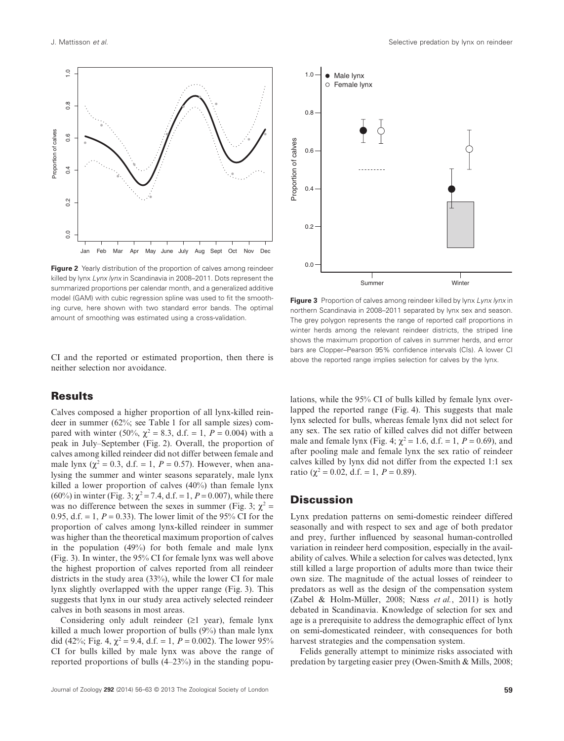

**Figure 2** Yearly distribution of the proportion of calves among reindeer killed by lynx *Lynx lynx* in Scandinavia in 2008–2011. Dots represent the summarized proportions per calendar month, and a generalized additive model (GAM) with cubic regression spline was used to fit the smoothing curve, here shown with two standard error bands. The optimal amount of smoothing was estimated using a cross-validation.

CI and the reported or estimated proportion, then there is neither selection nor avoidance.

# **Results**

Calves composed a higher proportion of all lynx-killed reindeer in summer (62%; see Table 1 for all sample sizes) compared with winter (50%,  $\chi^2 = 8.3$ , d.f. = 1,  $P = 0.004$ ) with a peak in July–September (Fig. 2). Overall, the proportion of calves among killed reindeer did not differ between female and male lynx ( $\chi^2$  = 0.3, d.f. = 1, *P* = 0.57). However, when analysing the summer and winter seasons separately, male lynx killed a lower proportion of calves (40%) than female lynx (60%) in winter (Fig. 3;  $\chi^2 = 7.4$ , d.f. = 1, *P* = 0.007), while there was no difference between the sexes in summer (Fig. 3;  $\chi^2$  = 0.95, d.f. = 1,  $P = 0.33$ ). The lower limit of the 95% CI for the proportion of calves among lynx-killed reindeer in summer was higher than the theoretical maximum proportion of calves in the population (49%) for both female and male lynx (Fig. 3). In winter, the 95% CI for female lynx was well above the highest proportion of calves reported from all reindeer districts in the study area (33%), while the lower CI for male lynx slightly overlapped with the upper range (Fig. 3). This suggests that lynx in our study area actively selected reindeer calves in both seasons in most areas.

Considering only adult reindeer (≥1 year), female lynx killed a much lower proportion of bulls (9%) than male lynx did (42%; Fig. 4,  $\chi^2$  = 9.4, d.f. = 1, *P* = 0.002). The lower 95% CI for bulls killed by male lynx was above the range of reported proportions of bulls (4–23%) in the standing popu-



**Figure 3** Proportion of calves among reindeer killed by lynx *Lynx lynx* in northern Scandinavia in 2008–2011 separated by lynx sex and season. The grey polygon represents the range of reported calf proportions in winter herds among the relevant reindeer districts, the striped line shows the maximum proportion of calves in summer herds, and error bars are Clopper–Pearson 95% confidence intervals (CIs). A lower CI above the reported range implies selection for calves by the lynx.

lations, while the 95% CI of bulls killed by female lynx overlapped the reported range (Fig. 4). This suggests that male lynx selected for bulls, whereas female lynx did not select for any sex. The sex ratio of killed calves did not differ between male and female lynx (Fig. 4;  $\chi^2 = 1.6$ , d.f. = 1,  $P = 0.69$ ), and after pooling male and female lynx the sex ratio of reindeer calves killed by lynx did not differ from the expected 1:1 sex ratio ( $\chi^2 = 0.02$ , d.f. = 1,  $P = 0.89$ ).

# **Discussion**

Lynx predation patterns on semi-domestic reindeer differed seasonally and with respect to sex and age of both predator and prey, further influenced by seasonal human-controlled variation in reindeer herd composition, especially in the availability of calves. While a selection for calves was detected, lynx still killed a large proportion of adults more than twice their own size. The magnitude of the actual losses of reindeer to predators as well as the design of the compensation system (Zabel & Holm-Müller, 2008; Næss *et al.*, 2011) is hotly debated in Scandinavia. Knowledge of selection for sex and age is a prerequisite to address the demographic effect of lynx on semi-domesticated reindeer, with consequences for both harvest strategies and the compensation system.

Felids generally attempt to minimize risks associated with predation by targeting easier prey (Owen-Smith & Mills, 2008;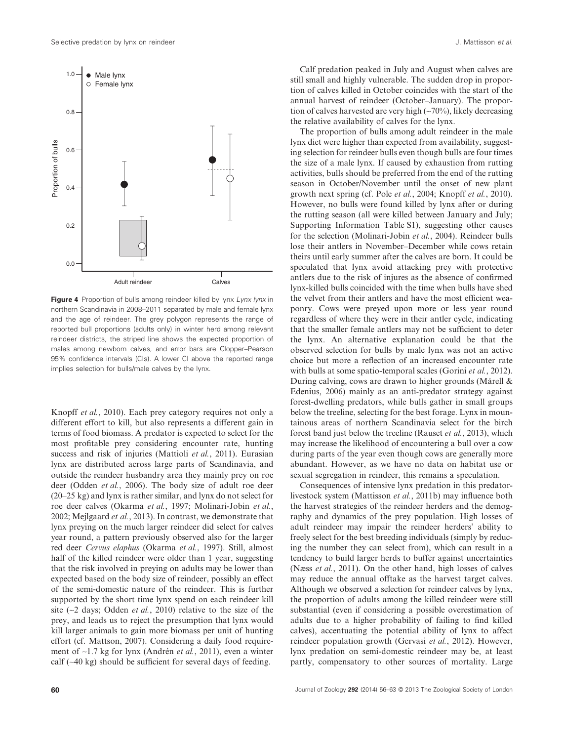

**Figure 4** Proportion of bulls among reindeer killed by lynx *Lynx lynx* in northern Scandinavia in 2008–2011 separated by male and female lynx and the age of reindeer. The grey polygon represents the range of reported bull proportions (adults only) in winter herd among relevant reindeer districts, the striped line shows the expected proportion of males among newborn calves, and error bars are Clopper–Pearson 95% confidence intervals (CIs). A lower CI above the reported range implies selection for bulls/male calves by the lynx.

Knopff *et al.*, 2010). Each prey category requires not only a different effort to kill, but also represents a different gain in terms of food biomass. A predator is expected to select for the most profitable prey considering encounter rate, hunting success and risk of injuries (Mattioli *et al.*, 2011). Eurasian lynx are distributed across large parts of Scandinavia, and outside the reindeer husbandry area they mainly prey on roe deer (Odden *et al.*, 2006). The body size of adult roe deer (20–25 kg) and lynx is rather similar, and lynx do not select for roe deer calves (Okarma *et al.*, 1997; Molinari-Jobin *et al.*, 2002; Mejlgaard *et al.*, 2013). In contrast, we demonstrate that lynx preying on the much larger reindeer did select for calves year round, a pattern previously observed also for the larger red deer *Cervus elaphus* (Okarma *et al.*, 1997). Still, almost half of the killed reindeer were older than 1 year, suggesting that the risk involved in preying on adults may be lower than expected based on the body size of reindeer, possibly an effect of the semi-domestic nature of the reindeer. This is further supported by the short time lynx spend on each reindeer kill site (∼2 days; Odden *et al.*, 2010) relative to the size of the prey, and leads us to reject the presumption that lynx would kill larger animals to gain more biomass per unit of hunting effort (cf. Mattson, 2007). Considering a daily food requirement of ∼1.7 kg for lynx (Andrén *et al.*, 2011), even a winter calf (∼40 kg) should be sufficient for several days of feeding.

Calf predation peaked in July and August when calves are still small and highly vulnerable. The sudden drop in proportion of calves killed in October coincides with the start of the annual harvest of reindeer (October–January). The proportion of calves harvested are very high (∼70%), likely decreasing the relative availability of calves for the lynx.

The proportion of bulls among adult reindeer in the male lynx diet were higher than expected from availability, suggesting selection for reindeer bulls even though bulls are four times the size of a male lynx. If caused by exhaustion from rutting activities, bulls should be preferred from the end of the rutting season in October/November until the onset of new plant growth next spring (cf. Pole *et al.*, 2004; Knopff *et al.*, 2010). However, no bulls were found killed by lynx after or during the rutting season (all were killed between January and July; Supporting Information Table S1), suggesting other causes for the selection (Molinari-Jobin *et al.*, 2004). Reindeer bulls lose their antlers in November–December while cows retain theirs until early summer after the calves are born. It could be speculated that lynx avoid attacking prey with protective antlers due to the risk of injures as the absence of confirmed lynx-killed bulls coincided with the time when bulls have shed the velvet from their antlers and have the most efficient weaponry. Cows were preyed upon more or less year round regardless of where they were in their antler cycle, indicating that the smaller female antlers may not be sufficient to deter the lynx. An alternative explanation could be that the observed selection for bulls by male lynx was not an active choice but more a reflection of an increased encounter rate with bulls at some spatio-temporal scales (Gorini *et al.*, 2012). During calving, cows are drawn to higher grounds (Mårell & Edenius, 2006) mainly as an anti-predator strategy against forest-dwelling predators, while bulls gather in small groups below the treeline, selecting for the best forage. Lynx in mountainous areas of northern Scandinavia select for the birch forest band just below the treeline (Rauset *et al.*, 2013), which may increase the likelihood of encountering a bull over a cow during parts of the year even though cows are generally more abundant. However, as we have no data on habitat use or sexual segregation in reindeer, this remains a speculation.

Consequences of intensive lynx predation in this predatorlivestock system (Mattisson *et al.*, 2011b) may influence both the harvest strategies of the reindeer herders and the demography and dynamics of the prey population. High losses of adult reindeer may impair the reindeer herders' ability to freely select for the best breeding individuals (simply by reducing the number they can select from), which can result in a tendency to build larger herds to buffer against uncertainties (Næss *et al.*, 2011). On the other hand, high losses of calves may reduce the annual offtake as the harvest target calves. Although we observed a selection for reindeer calves by lynx, the proportion of adults among the killed reindeer were still substantial (even if considering a possible overestimation of adults due to a higher probability of failing to find killed calves), accentuating the potential ability of lynx to affect reindeer population growth (Gervasi *et al.*, 2012). However, lynx predation on semi-domestic reindeer may be, at least partly, compensatory to other sources of mortality. Large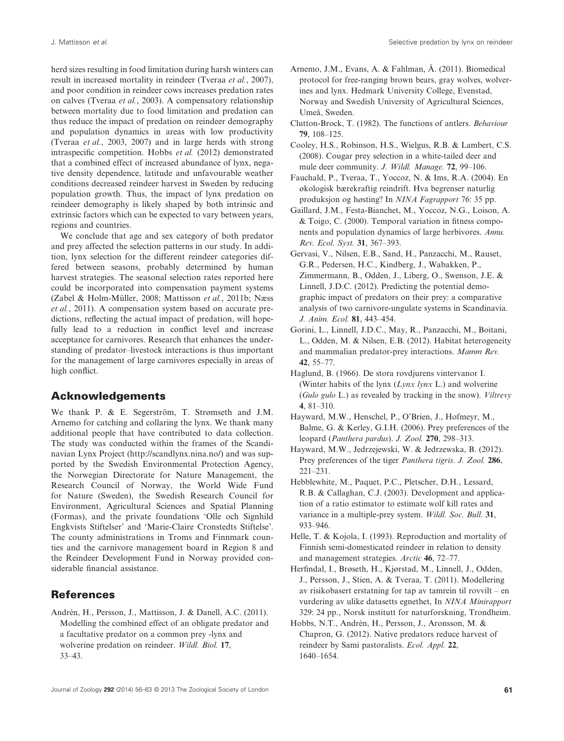herd sizes resulting in food limitation during harsh winters can result in increased mortality in reindeer (Tveraa *et al.*, 2007), and poor condition in reindeer cows increases predation rates on calves (Tveraa *et al.*, 2003). A compensatory relationship between mortality due to food limitation and predation can thus reduce the impact of predation on reindeer demography and population dynamics in areas with low productivity (Tveraa *et al.*, 2003, 2007) and in large herds with strong intraspecific competition. Hobbs *et al.* (2012) demonstrated that a combined effect of increased abundance of lynx, negative density dependence, latitude and unfavourable weather conditions decreased reindeer harvest in Sweden by reducing population growth. Thus, the impact of lynx predation on reindeer demography is likely shaped by both intrinsic and extrinsic factors which can be expected to vary between years, regions and countries.

We conclude that age and sex category of both predator and prey affected the selection patterns in our study. In addition, lynx selection for the different reindeer categories differed between seasons, probably determined by human harvest strategies. The seasonal selection rates reported here could be incorporated into compensation payment systems (Zabel & Holm-Müller, 2008; Mattisson *et al.*, 2011b; Næss *et al.*, 2011). A compensation system based on accurate predictions, reflecting the actual impact of predation, will hopefully lead to a reduction in conflict level and increase acceptance for carnivores. Research that enhances the understanding of predator–livestock interactions is thus important for the management of large carnivores especially in areas of high conflict.

# **Acknowledgements**

We thank P. & E. Segerström, T. Strømseth and J.M. Arnemo for catching and collaring the lynx. We thank many additional people that have contributed to data collection. The study was conducted within the frames of the Scandinavian Lynx Project (http://scandlynx.nina.no/) and was supported by the Swedish Environmental Protection Agency, the Norwegian Directorate for Nature Management, the Research Council of Norway, the World Wide Fund for Nature (Sweden), the Swedish Research Council for Environment, Agricultural Sciences and Spatial Planning (Formas), and the private foundations 'Olle och Signhild Engkvists Stiftelser' and 'Marie-Claire Cronstedts Stiftelse'. The county administrations in Troms and Finnmark counties and the carnivore management board in Region 8 and the Reindeer Development Fund in Norway provided considerable financial assistance.

# **References**

Andrén, H., Persson, J., Mattisson, J. & Danell, A.C. (2011). Modelling the combined effect of an obligate predator and a facultative predator on a common prey -lynx and wolverine predation on reindeer. *Wildl. Biol.* **17**, 33–43.

- Arnemo, J.M., Evans, A. & Fahlman, Å. (2011). Biomedical protocol for free-ranging brown bears, gray wolves, wolverines and lynx. Hedmark University College, Evenstad, Norway and Swedish University of Agricultural Sciences, Umeå, Sweden.
- Clutton-Brock, T. (1982). The functions of antlers. *Behaviour* **79**, 108–125.
- Cooley, H.S., Robinson, H.S., Wielgus, R.B. & Lambert, C.S. (2008). Cougar prey selection in a white-tailed deer and mule deer community. *J. Wildl. Manage.* **72**, 99–106.
- Fauchald, P., Tveraa, T., Yoccoz, N. & Ims, R.A. (2004). En økologisk bærekraftig reindrift. Hva begrenser naturlig produksjon og høsting? In *NINA Fagrapport* 76: 35 pp.
- Gaillard, J.M., Festa-Bianchet, M., Yoccoz, N.G., Loison, A. & Toigo, C. (2000). Temporal variation in fitness components and population dynamics of large herbivores. *Annu. Rev. Ecol. Syst.* **31**, 367–393.
- Gervasi, V., Nilsen, E.B., Sand, H., Panzacchi, M., Rauset, G.R., Pedersen, H.C., Kindberg, J., Wabakken, P., Zimmermann, B., Odden, J., Liberg, O., Swenson, J.E. & Linnell, J.D.C. (2012). Predicting the potential demographic impact of predators on their prey: a comparative analysis of two carnivore-ungulate systems in Scandinavia. *J. Anim. Ecol.* **81**, 443–454.
- Gorini, L., Linnell, J.D.C., May, R., Panzacchi, M., Boitani, L., Odden, M. & Nilsen, E.B. (2012). Habitat heterogeneity and mammalian predator-prey interactions. *Mamm Rev.* **42**, 55–77.
- Haglund, B. (1966). De stora rovdjurens vintervanor I. (Winter habits of the lynx (*Lynx lynx* L.) and wolverine (*Gulo gulo* L.) as revealed by tracking in the snow). *Viltrevy* **4**, 81–310.
- Hayward, M.W., Henschel, P., O'Brien, J., Hofmeyr, M., Balme, G. & Kerley, G.I.H. (2006). Prey preferences of the leopard (*Panthera pardus*). *J. Zool.* **270**, 298–313.
- Hayward, M.W., Jedrzejewski, W. & Jedrzewska, B. (2012). Prey preferences of the tiger *Panthera tigris*. *J. Zool.* **286**, 221–231.
- Hebblewhite, M., Paquet, P.C., Pletscher, D.H., Lessard, R.B. & Callaghan, C.J. (2003). Development and application of a ratio estimator to estimate wolf kill rates and variance in a multiple-prey system. *Wildl. Soc. Bull.* **31**, 933–946.
- Helle, T. & Kojola, I. (1993). Reproduction and mortality of Finnish semi-domesticated reindeer in relation to density and management strategies. *Arctic* **46**, 72–77.
- Herfindal, I., Brøseth, H., Kjørstad, M., Linnell, J., Odden, J., Persson, J., Stien, A. & Tveraa, T. (2011). Modellering av risikobasert erstatning for tap av tamrein til rovvilt – en vurdering av ulike datasetts egnethet, In *NINA Minirapport* 329: 24 pp., Norsk institutt for naturforskning, Trondheim.
- Hobbs, N.T., Andrén, H., Persson, J., Aronsson, M. & Chapron, G. (2012). Native predators reduce harvest of reindeer by Sami pastoralists. *Ecol. Appl.* **22**, 1640–1654.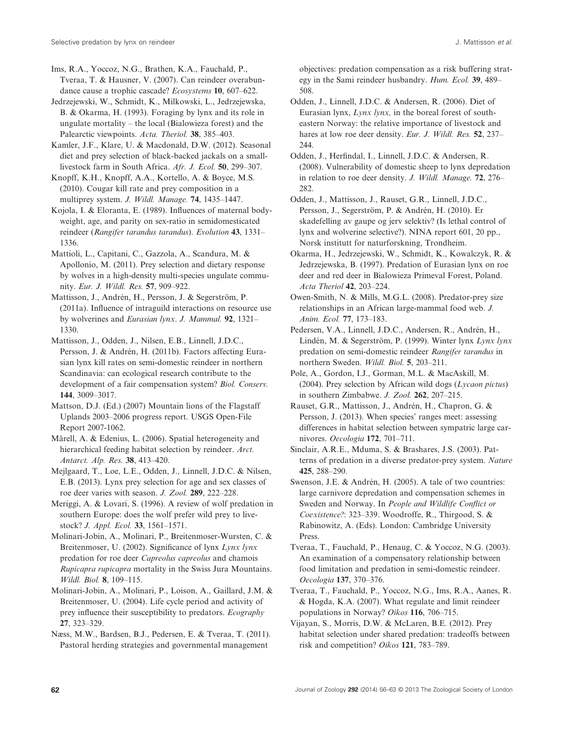Ims, R.A., Yoccoz, N.G., Brathen, K.A., Fauchald, P., Tveraa, T. & Hausner, V. (2007). Can reindeer overabundance cause a trophic cascade? *Ecosystems* **10**, 607–622.

Jedrzejewski, W., Schmidt, K., Milkowski, L., Jedrzejewska, B. & Okarma, H. (1993). Foraging by lynx and its role in ungulate mortality – the local (Bialowieza forest) and the Palearctic viewpoints. *Acta. Theriol.* **38**, 385–403.

Kamler, J.F., Klare, U. & Macdonald, D.W. (2012). Seasonal diet and prey selection of black-backed jackals on a smalllivestock farm in South Africa. *Afr. J. Ecol.* **50**, 299–307.

Knopff, K.H., Knopff, A.A., Kortello, A. & Boyce, M.S. (2010). Cougar kill rate and prey composition in a multiprey system. *J. Wildl. Manage.* **74**, 1435–1447.

Kojola, I. & Eloranta, E. (1989). Influences of maternal bodyweight, age, and parity on sex-ratio in semidomesticated reindeer (*Rangifer tarandus tarandus*). *Evolution* **43**, 1331– 1336.

Mattioli, L., Capitani, C., Gazzola, A., Scandura, M. & Apollonio, M. (2011). Prey selection and dietary response by wolves in a high-density multi-species ungulate community. *Eur. J. Wildl. Res.* **57**, 909–922.

Mattisson, J., Andrén, H., Persson, J. & Segerström, P. (2011a). Influence of intraguild interactions on resource use by wolverines and *Eurasian lynx*. *J. Mammal.* **92**, 1321– 1330.

Mattisson, J., Odden, J., Nilsen, E.B., Linnell, J.D.C., Persson, J. & Andrén, H. (2011b). Factors affecting Eurasian lynx kill rates on semi-domestic reindeer in northern Scandinavia: can ecological research contribute to the development of a fair compensation system? *Biol. Conserv.* **144**, 3009–3017.

Mattson, D.J. (Ed.) (2007) Mountain lions of the Flagstaff Uplands 2003–2006 progress report. USGS Open-File Report 2007-1062.

Mårell, A. & Edenius, L. (2006). Spatial heterogeneity and hierarchical feeding habitat selection by reindeer. *Arct. Antarct. Alp. Res.* **38**, 413–420.

Mejlgaard, T., Loe, L.E., Odden, J., Linnell, J.D.C. & Nilsen, E.B. (2013). Lynx prey selection for age and sex classes of roe deer varies with season. *J. Zool.* **289**, 222–228.

Meriggi, A. & Lovari, S. (1996). A review of wolf predation in southern Europe: does the wolf prefer wild prey to livestock? *J. Appl. Ecol.* **33**, 1561–1571.

Molinari-Jobin, A., Molinari, P., Breitenmoser-Wursten, C. & Breitenmoser, U. (2002). Significance of lynx *Lynx lynx* predation for roe deer *Capreolus capreolus* and chamois *Rupicapra rupicapra* mortality in the Swiss Jura Mountains. *Wildl. Biol.* **8**, 109–115.

Molinari-Jobin, A., Molinari, P., Loison, A., Gaillard, J.M. & Breitenmoser, U. (2004). Life cycle period and activity of prey influence their susceptibility to predators. *Ecography* **27**, 323–329.

Næss, M.W., Bardsen, B.J., Pedersen, E. & Tveraa, T. (2011). Pastoral herding strategies and governmental management

objectives: predation compensation as a risk buffering strategy in the Sami reindeer husbandry. *Hum. Ecol.* **39**, 489– 508.

Odden, J., Linnell, J.D.C. & Andersen, R. (2006). Diet of Eurasian lynx, *Lynx lynx,* in the boreal forest of southeastern Norway: the relative importance of livestock and hares at low roe deer density. *Eur. J. Wildl. Res.* **52**, 237– 244.

Odden, J., Herfindal, I., Linnell, J.D.C. & Andersen, R. (2008). Vulnerability of domestic sheep to lynx depredation in relation to roe deer density. *J. Wildl. Manage.* **72**, 276– 282.

Odden, J., Mattisson, J., Rauset, G.R., Linnell, J.D.C., Persson, J., Segerström, P. & Andrén, H. (2010). Er skadefelling av gaupe og jerv selektiv? (Is lethal control of lynx and wolverine selective?). NINA report 601, 20 pp., Norsk institutt for naturforskning, Trondheim.

Okarma, H., Jedrzejewski, W., Schmidt, K., Kowalczyk, R. & Jedrzejewska, B. (1997). Predation of Eurasian lynx on roe deer and red deer in Bialowieza Primeval Forest, Poland. *Acta Theriol* **42**, 203–224.

Owen-Smith, N. & Mills, M.G.L. (2008). Predator-prey size relationships in an African large-mammal food web. *J. Anim. Ecol.* **77**, 173–183.

Pedersen, V.A., Linnell, J.D.C., Andersen, R., Andrén, H., Lindén, M. & Segerström, P. (1999). Winter lynx *Lynx lynx* predation on semi-domestic reindeer *Rangifer tarandus* in northern Sweden. *Wildl. Biol.* **5**, 203–211.

Pole, A., Gordon, I.J., Gorman, M.L. & MacAskill, M. (2004). Prey selection by African wild dogs (*Lycaon pictus*) in southern Zimbabwe. *J. Zool.* **262**, 207–215.

Rauset, G.R., Mattisson, J., Andrén, H., Chapron, G. & Persson, J. (2013). When species' ranges meet: assessing differences in habitat selection between sympatric large carnivores. *Oecologia* **172**, 701–711.

Sinclair, A.R.E., Mduma, S. & Brashares, J.S. (2003). Patterns of predation in a diverse predator-prey system. *Nature* **425**, 288–290.

Swenson, J.E. & Andrén, H. (2005). A tale of two countries: large carnivore depredation and compensation schemes in Sweden and Norway. In *People and Wildlife Conflict or Coexistence?*: 323–339. Woodroffe, R., Thirgood, S. & Rabinowitz, A. (Eds). London: Cambridge University Press.

Tveraa, T., Fauchald, P., Henaug, C. & Yoccoz, N.G. (2003). An examination of a compensatory relationship between food limitation and predation in semi-domestic reindeer. *Oecologia* **137**, 370–376.

Tveraa, T., Fauchald, P., Yoccoz, N.G., Ims, R.A., Aanes, R. & Hogda, K.A. (2007). What regulate and limit reindeer populations in Norway? *Oikos* **116**, 706–715.

Vijayan, S., Morris, D.W. & McLaren, B.E. (2012). Prey habitat selection under shared predation: tradeoffs between risk and competition? *Oikos* **121**, 783–789.